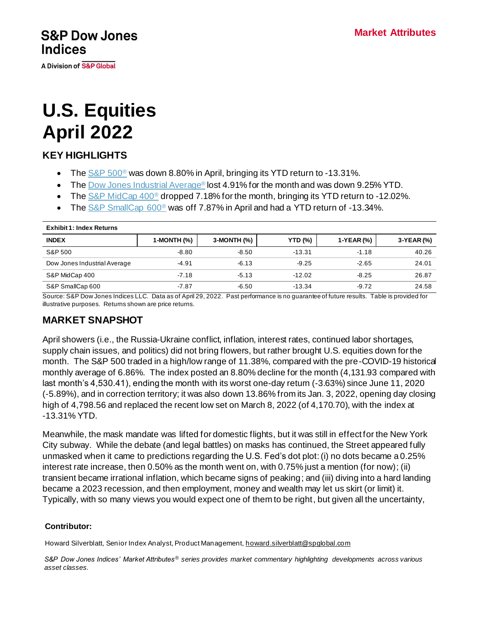**S&P Dow Jones Indices** 

**A Division of S&P Global** 

# **U.S. Equities April 2022**

## **KEY HIGHLIGHTS**

- The  $S&P 500^\circ$  was down 8.80% in April, bringing its YTD return to -13.31%.
- Th[e Dow Jones Industrial Average](http://spdji.com/indices/equity/dow-jones-industrial-average?utm_source=pdf_commentary)<sup>®</sup> lost 4.91% for the month and was down 9.25% YTD.
- The  $\underline{\text{S&P} \text{MidCap } 400^{\circ}}$  dropped 7.18% for the month, bringing its YTD return to -12.02%.
- The  $S&P$  SmallCap  $600^\circ$  was off 7.87% in April and had a YTD return of -13.34%.

| <b>Exhibit 1: Index Returns</b> |             |                |          |            |            |  |  |  |  |
|---------------------------------|-------------|----------------|----------|------------|------------|--|--|--|--|
| <b>INDEX</b>                    | 1-MONTH (%) | $3-MONTH (\%)$ | YTD (%)  | 1-YEAR (%) | 3-YEAR (%) |  |  |  |  |
| S&P 500                         | $-8.80$     | $-8.50$        | $-13.31$ | $-1.18$    | 40.26      |  |  |  |  |
| Dow Jones Industrial Average    | $-4.91$     | $-6.13$        | $-9.25$  | $-2.65$    | 24.01      |  |  |  |  |
| S&P MidCap 400                  | $-7.18$     | $-5.13$        | $-12.02$ | $-8.25$    | 26.87      |  |  |  |  |
| S&P SmallCap 600                | $-7.87$     | $-6.50$        | $-13.34$ | $-9.72$    | 24.58      |  |  |  |  |

Source: S&P Dow Jones Indices LLC. Data as of April 29, 2022. Past performance is no guarantee of future results. Table is provided for illustrative purposes. Returns shown are price returns.

## **MARKET SNAPSHOT**

April showers (i.e., the Russia-Ukraine conflict, inflation, interest rates, continued labor shortages, supply chain issues, and politics) did not bring flowers, but rather brought U.S. equities down for the month. The S&P 500 traded in a high/low range of 11.38%, compared with the pre-COVID-19 historical monthly average of 6.86%. The index posted an 8.80% decline for the month (4,131.93 compared with last month's 4,530.41), ending the month with its worst one-day return (-3.63%) since June 11, 2020 (-5.89%), and in correction territory; it was also down 13.86% from its Jan. 3, 2022, opening day closing high of 4,798.56 and replaced the recent low set on March 8, 2022 (of 4,170.70), with the index at -13.31% YTD.

Meanwhile, the mask mandate was lifted for domestic flights, but it was still in effect for the New York City subway. While the debate (and legal battles) on masks has continued, the Street appeared fully unmasked when it came to predictions regarding the U.S. Fed's dot plot: (i) no dots became a 0.25% interest rate increase, then 0.50% as the month went on, with 0.75% just a mention (for now); (ii) transient became irrational inflation, which became signs of peaking; and (iii) diving into a hard landing became a 2023 recession, and then employment, money and wealth may let us skirt (or limit) it. Typically, with so many views you would expect one of them to be right, but given all the uncertainty,

#### **Contributor:**

Howard Silverblatt, Senior Index Analyst, Product Management[, howard.silverblatt@spglobal.com](mailto:howard.silverblatt@spglobal.com)

*S&P Dow Jones Indices' Market Attributes® series provides market commentary highlighting developments across various asset classes.*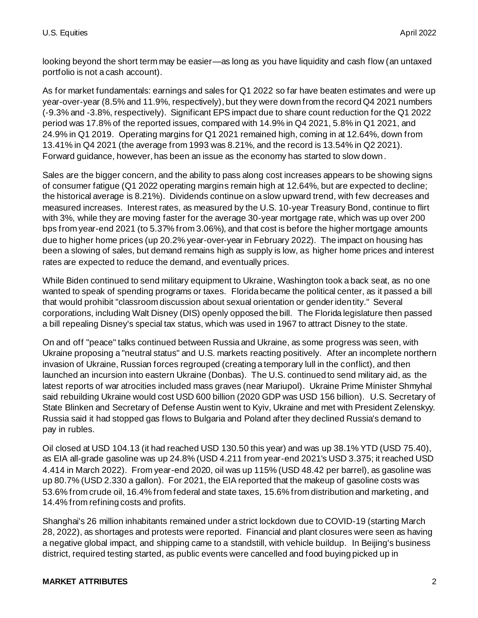looking beyond the short term may be easier—as long as you have liquidity and cash flow (an untaxed portfolio is not a cash account).

As for market fundamentals: earnings and sales for Q1 2022 so far have beaten estimates and were up year-over-year (8.5% and 11.9%, respectively), but they were down from the record Q4 2021 numbers (-9.3% and -3.8%, respectively). Significant EPS impact due to share count reduction for the Q1 2022 period was 17.8% of the reported issues, compared with 14.9% in Q4 2021, 5.8% in Q1 2021, and 24.9% in Q1 2019. Operating margins for Q1 2021 remained high, coming in at 12.64%, down from 13.41% in Q4 2021 (the average from 1993 was 8.21%, and the record is 13.54% in Q2 2021). Forward guidance, however, has been an issue as the economy has started to slow down.

Sales are the bigger concern, and the ability to pass along cost increases appears to be showing signs of consumer fatigue (Q1 2022 operating margins remain high at 12.64%, but are expected to decline; the historical average is 8.21%). Dividends continue on a slow upward trend, with few decreases and measured increases. Interest rates, as measured by the U.S. 10-year Treasury Bond, continue to flirt with 3%, while they are moving faster for the average 30-year mortgage rate, which was up over 200 bps from year-end 2021 (to 5.37% from 3.06%), and that cost is before the higher mortgage amounts due to higher home prices (up 20.2% year-over-year in February 2022). The impact on housing has been a slowing of sales, but demand remains high as supply is low, as higher home prices and interest rates are expected to reduce the demand, and eventually prices.

While Biden continued to send military equipment to Ukraine, Washington took a back seat, as no one wanted to speak of spending programs or taxes. Florida became the political center, as it passed a bill that would prohibit "classroom discussion about sexual orientation or gender identity." Several corporations, including Walt Disney (DIS) openly opposed the bill. The Florida legislature then passed a bill repealing Disney's special tax status, which was used in 1967 to attract Disney to the state.

On and off "peace" talks continued between Russia and Ukraine, as some progress was seen, with Ukraine proposing a "neutral status" and U.S. markets reacting positively. After an incomplete northern invasion of Ukraine, Russian forces regrouped (creating a temporary lull in the conflict), and then launched an incursion into eastern Ukraine (Donbas). The U.S. continued to send military aid, as the latest reports of war atrocities included mass graves (near Mariupol). Ukraine Prime Minister Shmyhal said rebuilding Ukraine would cost USD 600 billion (2020 GDP was USD 156 billion). U.S. Secretary of State Blinken and Secretary of Defense Austin went to Kyiv, Ukraine and met with President Zelenskyy. Russia said it had stopped gas flows to Bulgaria and Poland after they declined Russia's demand to pay in rubles.

Oil closed at USD 104.13 (it had reached USD 130.50 this year) and was up 38.1% YTD (USD 75.40), as EIA all-grade gasoline was up 24.8% (USD 4.211 from year-end 2021's USD 3.375; it reached USD 4.414 in March 2022). From year-end 2020, oil was up 115% (USD 48.42 per barrel), as gasoline was up 80.7% (USD 2.330 a gallon). For 2021, the EIA reported that the makeup of gasoline costs was 53.6% from crude oil, 16.4% from federal and state taxes, 15.6% from distribution and marketing, and 14.4% from refining costs and profits.

Shanghai's 26 million inhabitants remained under a strict lockdown due to COVID-19 (starting March 28, 2022), as shortages and protests were reported. Financial and plant closures were seen as having a negative global impact, and shipping came to a standstill, with vehicle buildup. In Beijing's business district, required testing started, as public events were cancelled and food buying picked up in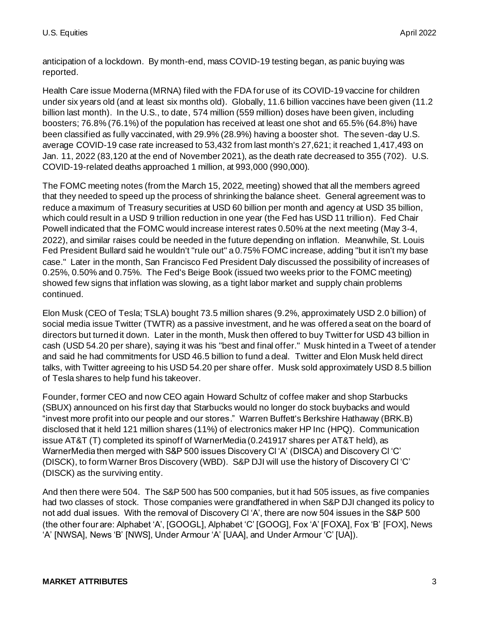anticipation of a lockdown. By month-end, mass COVID-19 testing began, as panic buying was reported.

Health Care issue Moderna (MRNA) filed with the FDA for use of its COVID-19 vaccine for children under six years old (and at least six months old). Globally, 11.6 billion vaccines have been given (11.2 billion last month). In the U.S., to date, 574 million (559 million) doses have been given, including boosters; 76.8% (76.1%) of the population has received at least one shot and 65.5% (64.8%) have been classified as fully vaccinated, with 29.9% (28.9%) having a booster shot. The seven-day U.S. average COVID-19 case rate increased to 53,432 from last month's 27,621; it reached 1,417,493 on Jan. 11, 2022 (83,120 at the end of November 2021), as the death rate decreased to 355 (702). U.S. COVID-19-related deaths approached 1 million, at 993,000 (990,000).

The FOMC meeting notes (from the March 15, 2022, meeting) showed that all the members agreed that they needed to speed up the process of shrinking the balance sheet. General agreement was to reduce a maximum of Treasury securities at USD 60 billion per month and agency at USD 35 billion, which could result in a USD 9 trillion reduction in one year (the Fed has USD 11 trillion). Fed Chair Powell indicated that the FOMC would increase interest rates 0.50% at the next meeting (May 3-4, 2022), and similar raises could be needed in the future depending on inflation. Meanwhile, St. Louis Fed President Bullard said he wouldn't "rule out" a 0.75% FOMC increase, adding "but it isn't my base case." Later in the month, San Francisco Fed President Daly discussed the possibility of increases of 0.25%, 0.50% and 0.75%. The Fed's Beige Book (issued two weeks prior to the FOMC meeting) showed few signs that inflation was slowing, as a tight labor market and supply chain problems continued.

Elon Musk (CEO of Tesla; TSLA) bought 73.5 million shares (9.2%, approximately USD 2.0 billion) of social media issue Twitter (TWTR) as a passive investment, and he was offered a seat on the board of directors but turned it down. Later in the month, Musk then offered to buy Twitter for USD 43 billion in cash (USD 54.20 per share), saying it was his "best and final offer." Musk hinted in a Tweet of a tender and said he had commitments for USD 46.5 billion to fund a deal. Twitter and Elon Musk held direct talks, with Twitter agreeing to his USD 54.20 per share offer. Musk sold approximately USD 8.5 billion of Tesla shares to help fund his takeover.

Founder, former CEO and now CEO again Howard Schultz of coffee maker and shop Starbucks (SBUX) announced on his first day that Starbucks would no longer do stock buybacks and would "invest more profit into our people and our stores." Warren Buffett's Berkshire Hathaway (BRK.B) disclosed that it held 121 million shares (11%) of electronics maker HP Inc (HPQ). Communication issue AT&T (T) completed its spinoff of WarnerMedia (0.241917 shares per AT&T held), as WarnerMedia then merged with S&P 500 issues Discovery Cl 'A' (DISCA) and Discovery Cl 'C' (DISCK), to form Warner Bros Discovery (WBD). S&P DJI will use the history of Discovery Cl 'C' (DISCK) as the surviving entity.

And then there were 504. The S&P 500 has 500 companies, but it had 505 issues, as five companies had two classes of stock. Those companies were grandfathered in when S&P DJI changed its policy to not add dual issues. With the removal of Discovery Cl 'A', there are now 504 issues in the S&P 500 (the other four are: Alphabet 'A', [GOOGL], Alphabet 'C' [GOOG], Fox 'A' [FOXA], Fox 'B' [FOX], News 'A' [NWSA], News 'B' [NWS], Under Armour 'A' [UAA], and Under Armour 'C' [UA]).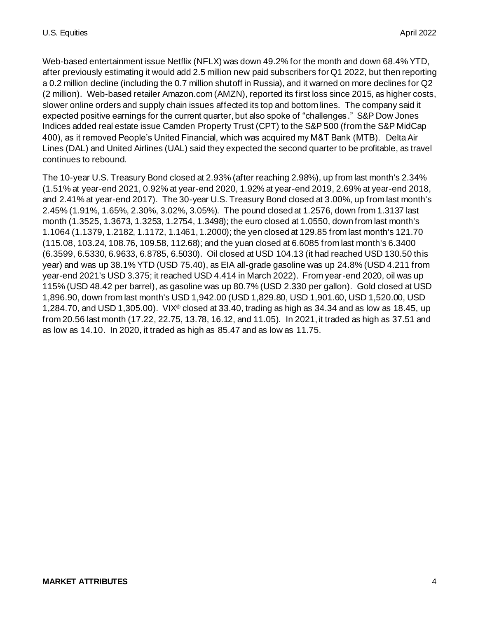Web-based entertainment issue Netflix (NFLX) was down 49.2% for the month and down 68.4% YTD, after previously estimating it would add 2.5 million new paid subscribers for Q1 2022, but then reporting a 0.2 million decline (including the 0.7 million shutoff in Russia), and it warned on more declines for Q2 (2 million). Web-based retailer Amazon.com (AMZN), reported its first loss since 2015, as higher costs, slower online orders and supply chain issues affected its top and bottom lines. The company said it expected positive earnings for the current quarter, but also spoke of "challenges." S&P Dow Jones Indices added real estate issue Camden Property Trust (CPT) to the S&P 500 (from the S&P MidCap 400), as it removed People's United Financial, which was acquired my M&T Bank (MTB). Delta Air Lines (DAL) and United Airlines (UAL) said they expected the second quarter to be profitable, as travel continues to rebound.

The 10-year U.S. Treasury Bond closed at 2.93% (after reaching 2.98%), up from last month's 2.34% (1.51% at year-end 2021, 0.92% at year-end 2020, 1.92% at year-end 2019, 2.69% at year-end 2018, and 2.41% at year-end 2017). The 30-year U.S. Treasury Bond closed at 3.00%, up from last month's 2.45% (1.91%, 1.65%, 2.30%, 3.02%, 3.05%). The pound closed at 1.2576, down from 1.3137 last month (1.3525, 1.3673, 1.3253, 1.2754, 1.3498); the euro closed at 1.0550, down from last month's 1.1064 (1.1379, 1.2182, 1.1172, 1.1461, 1.2000); the yen closed at 129.85 from last month's 121.70 (115.08, 103.24, 108.76, 109.58, 112.68); and the yuan closed at 6.6085 from last month's 6.3400 (6.3599, 6.5330, 6.9633, 6.8785, 6.5030). Oil closed at USD 104.13 (it had reached USD 130.50 this year) and was up 38.1% YTD (USD 75.40), as EIA all-grade gasoline was up 24.8% (USD 4.211 from year-end 2021's USD 3.375; it reached USD 4.414 in March 2022). From year-end 2020, oil was up 115% (USD 48.42 per barrel), as gasoline was up 80.7% (USD 2.330 per gallon). Gold closed at USD 1,896.90, down from last month's USD 1,942.00 (USD 1,829.80, USD 1,901.60, USD 1,520.00, USD 1,284.70, and USD 1,305.00). VIX® closed at 33.40, trading as high as 34.34 and as low as 18.45, up from 20.56 last month (17.22, 22.75, 13.78, 16.12, and 11.05). In 2021, it traded as high as 37.51 and as low as 14.10. In 2020, it traded as high as 85.47 and as low as 11.75.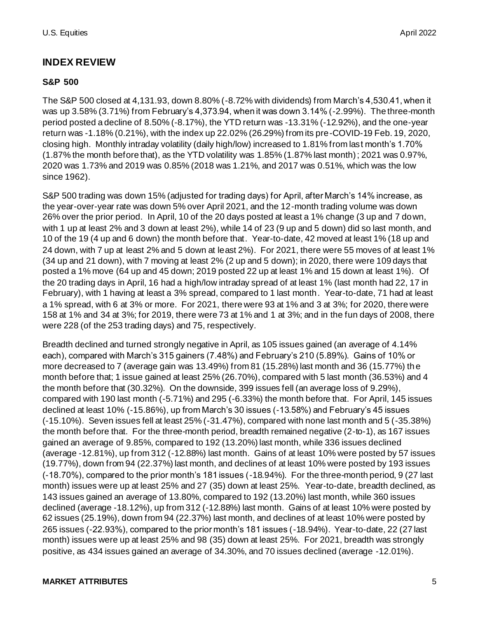## **INDEX REVIEW**

#### **S&P 500**

The S&P 500 closed at 4,131.93, down 8.80% (-8.72% with dividends) from March's 4,530.41, when it was up 3.58% (3.71%) from February's 4,373.94, when it was down 3.14% (-2.99%). The three-month period posted a decline of 8.50% (-8.17%), the YTD return was -13.31% (-12.92%), and the one-year return was -1.18% (0.21%), with the index up 22.02% (26.29%) from its pre-COVID-19 Feb. 19, 2020, closing high. Monthly intraday volatility (daily high/low) increased to 1.81% from last month's 1.70% (1.87% the month before that), as the YTD volatility was 1.85% (1.87% last month); 2021 was 0.97%, 2020 was 1.73% and 2019 was 0.85% (2018 was 1.21%, and 2017 was 0.51%, which was the low since 1962).

S&P 500 trading was down 15% (adjusted for trading days) for April, after March's 14% increase, as the year-over-year rate was down 5% over April 2021, and the 12-month trading volume was down 26% over the prior period. In April, 10 of the 20 days posted at least a 1% change (3 up and 7 down, with 1 up at least 2% and 3 down at least 2%), while 14 of 23 (9 up and 5 down) did so last month, and 10 of the 19 (4 up and 6 down) the month before that. Year-to-date, 42 moved at least 1% (18 up and 24 down, with 7 up at least 2% and 5 down at least 2%). For 2021, there were 55 moves of at least 1% (34 up and 21 down), with 7 moving at least 2% (2 up and 5 down); in 2020, there were 109 days that posted a 1% move (64 up and 45 down; 2019 posted 22 up at least 1% and 15 down at least 1%). Of the 20 trading days in April, 16 had a high/low intraday spread of at least 1% (last month had 22, 17 in February), with 1 having at least a 3% spread, compared to 1 last month. Year-to-date, 71 had at least a 1% spread, with 6 at 3% or more. For 2021, there were 93 at 1% and 3 at 3%; for 2020, there were 158 at 1% and 34 at 3%; for 2019, there were 73 at 1% and 1 at 3%; and in the fun days of 2008, there were 228 (of the 253 trading days) and 75, respectively.

Breadth declined and turned strongly negative in April, as 105 issues gained (an average of 4.14% each), compared with March's 315 gainers (7.48%) and February's 210 (5.89%). Gains of 10% or more decreased to 7 (average gain was 13.49%) from 81 (15.28%) last month and 36 (15.77%) th e month before that; 1 issue gained at least 25% (26.70%), compared with 5 last month (36.53%) and 4 the month before that (30.32%). On the downside, 399 issues fell (an average loss of 9.29%), compared with 190 last month (-5.71%) and 295 (-6.33%) the month before that. For April, 145 issues declined at least 10% (-15.86%), up from March's 30 issues (-13.58%) and February's 45 issues (-15.10%). Seven issues fell at least 25% (-31.47%), compared with none last month and 5 (-35.38%) the month before that. For the three-month period, breadth remained negative (2-to-1), as 167 issues gained an average of 9.85%, compared to 192 (13.20%) last month, while 336 issues declined (average -12.81%), up from 312 (-12.88%) last month. Gains of at least 10% were posted by 57 issues (19.77%), down from 94 (22.37%) last month, and declines of at least 10% were posted by 193 issues (-18.70%), compared to the prior month's 181 issues (-18.94%). For the three-month period, 9 (27 last month) issues were up at least 25% and 27 (35) down at least 25%. Year-to-date, breadth declined, as 143 issues gained an average of 13.80%, compared to 192 (13.20%) last month, while 360 issues declined (average -18.12%), up from 312 (-12.88%) last month. Gains of at least 10% were posted by 62 issues (25.19%), down from 94 (22.37%) last month, and declines of at least 10% were posted by 265 issues (-22.93%), compared to the prior month's 181 issues (-18.94%). Year-to-date, 22 (27 last month) issues were up at least 25% and 98 (35) down at least 25%. For 2021, breadth was strongly positive, as 434 issues gained an average of 34.30%, and 70 issues declined (average -12.01%).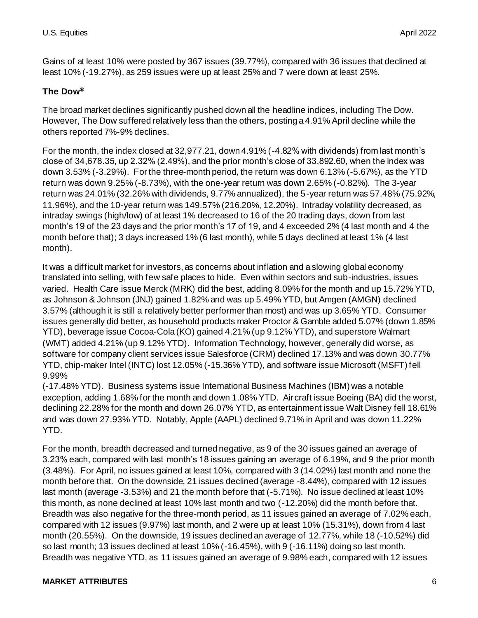Gains of at least 10% were posted by 367 issues (39.77%), compared with 36 issues that declined at least 10% (-19.27%), as 259 issues were up at least 25% and 7 were down at least 25%.

#### **The Dow®**

The broad market declines significantly pushed down all the headline indices, including The Dow. However, The Dow suffered relatively less than the others, posting a 4.91% April decline while the others reported 7%-9% declines.

For the month, the index closed at 32,977.21, down 4.91% (-4.82% with dividends) from last month's close of 34,678.35, up 2.32% (2.49%), and the prior month's close of 33,892.60, when the index was down 3.53% (-3.29%). For the three-month period, the return was down 6.13% (-5.67%), as the YTD return was down 9.25% (-8.73%), with the one-year return was down 2.65% (-0.82%). The 3-year return was 24.01% (32.26% with dividends, 9.77% annualized), the 5-year return was 57.48% (75.92%, 11.96%), and the 10-year return was 149.57% (216.20%, 12.20%). Intraday volatility decreased, as intraday swings (high/low) of at least 1% decreased to 16 of the 20 trading days, down from last month's 19 of the 23 days and the prior month's 17 of 19, and 4 exceeded 2% (4 last month and 4 the month before that); 3 days increased 1% (6 last month), while 5 days declined at least 1% (4 last month).

It was a difficult market for investors, as concerns about inflation and a slowing global economy translated into selling, with few safe places to hide. Even within sectors and sub-industries, issues varied. Health Care issue Merck (MRK) did the best, adding 8.09% for the month and up 15.72% YTD, as Johnson & Johnson (JNJ) gained 1.82% and was up 5.49% YTD, but Amgen (AMGN) declined 3.57% (although it is still a relatively better performer than most) and was up 3.65% YTD. Consumer issues generally did better, as household products maker Proctor & Gamble added 5.07% (down 1.85% YTD), beverage issue Cocoa-Cola (KO) gained 4.21% (up 9.12% YTD), and superstore Walmart (WMT) added 4.21% (up 9.12% YTD). Information Technology, however, generally did worse, as software for company client services issue Salesforce (CRM) declined 17.13% and was down 30.77% YTD, chip-maker Intel (INTC) lost 12.05% (-15.36% YTD), and software issue Microsoft (MSFT) fell 9.99%

(-17.48% YTD). Business systems issue International Business Machines (IBM) was a notable exception, adding 1.68% for the month and down 1.08% YTD. Aircraft issue Boeing (BA) did the worst, declining 22.28% for the month and down 26.07% YTD, as entertainment issue Walt Disney fell 18.61% and was down 27.93% YTD. Notably, Apple (AAPL) declined 9.71% in April and was down 11.22% YTD.

For the month, breadth decreased and turned negative, as 9 of the 30 issues gained an average of 3.23% each, compared with last month's 18 issues gaining an average of 6.19%, and 9 the prior month (3.48%). For April, no issues gained at least 10%, compared with 3 (14.02%) last month and none the month before that. On the downside, 21 issues declined (average -8.44%), compared with 12 issues last month (average -3.53%) and 21 the month before that (-5.71%). No issue declined at least 10% this month, as none declined at least 10% last month and two (-12.20%) did the month before that. Breadth was also negative for the three-month period, as 11 issues gained an average of 7.02% each, compared with 12 issues (9.97%) last month, and 2 were up at least 10% (15.31%), down from 4 last month (20.55%). On the downside, 19 issues declined an average of 12.77%, while 18 (-10.52%) did so last month; 13 issues declined at least 10% (-16.45%), with 9 (-16.11%) doing so last month. Breadth was negative YTD, as 11 issues gained an average of 9.98% each, compared with 12 issues

#### **MARKET ATTRIBUTES** 6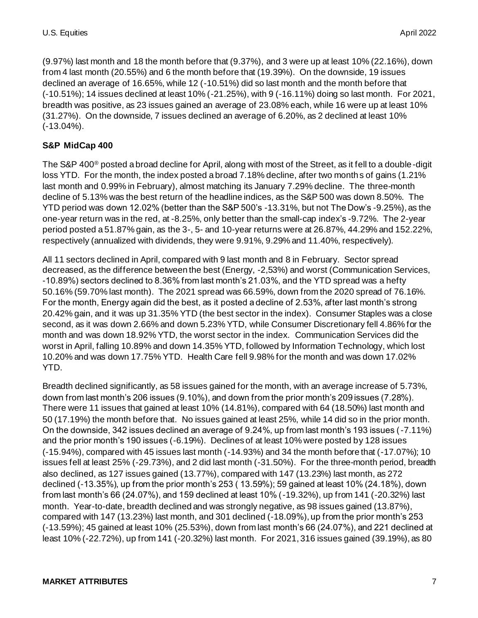(9.97%) last month and 18 the month before that (9.37%), and 3 were up at least 10% (22.16%), down from 4 last month (20.55%) and 6 the month before that (19.39%). On the downside, 19 issues declined an average of 16.65%, while 12 (-10.51%) did so last month and the month before that (-10.51%); 14 issues declined at least 10% (-21.25%), with 9 (-16.11%) doing so last month. For 2021, breadth was positive, as 23 issues gained an average of 23.08% each, while 16 were up at least 10% (31.27%). On the downside, 7 issues declined an average of 6.20%, as 2 declined at least 10% (-13.04%).

#### **S&P MidCap 400**

The S&P 400<sup>®</sup> posted a broad decline for April, along with most of the Street, as it fell to a double-digit loss YTD. For the month, the index posted a broad 7.18% decline, after two months of gains (1.21% last month and 0.99% in February), almost matching its January 7.29% decline. The three-month decline of 5.13% was the best return of the headline indices, as the S&P 500 was down 8.50%. The YTD period was down 12.02% (better than the S&P 500's -13.31%, but not The Dow's -9.25%), as the one-year return was in the red, at -8.25%, only better than the small-cap index's -9.72%. The 2-year period posted a 51.87% gain, as the 3-, 5- and 10-year returns were at 26.87%, 44.29% and 152.22%, respectively (annualized with dividends, they were 9.91%, 9.29% and 11.40%, respectively).

All 11 sectors declined in April, compared with 9 last month and 8 in February. Sector spread decreased, as the difference between the best (Energy, -2,53%) and worst (Communication Services, -10.89%) sectors declined to 8.36% from last month's 21.03%, and the YTD spread was a hefty 50.16% (59.70% last month). The 2021 spread was 66.59%, down from the 2020 spread of 76.16%. For the month, Energy again did the best, as it posted a decline of 2.53%, after last month's strong 20.42% gain, and it was up 31.35% YTD (the best sector in the index). Consumer Staples was a close second, as it was down 2.66% and down 5.23% YTD, while Consumer Discretionary fell 4.86% for the month and was down 18.92% YTD, the worst sector in the index. Communication Services did the worst in April, falling 10.89% and down 14.35% YTD, followed by Information Technology, which lost 10.20% and was down 17.75% YTD. Health Care fell 9.98% for the month and was down 17.02% YTD.

Breadth declined significantly, as 58 issues gained for the month, with an average increase of 5.73%, down from last month's 206 issues (9.10%), and down from the prior month's 209 issues (7.28%). There were 11 issues that gained at least 10% (14.81%), compared with 64 (18.50%) last month and 50 (17.19%) the month before that. No issues gained at least 25%, while 14 did so in the prior month. On the downside, 342 issues declined an average of 9.24%, up from last month's 193 issues (-7.11%) and the prior month's 190 issues (-6.19%). Declines of at least 10% were posted by 128 issues (-15.94%), compared with 45 issues last month (-14.93%) and 34 the month before that (-17.07%); 10 issues fell at least 25% (-29.73%), and 2 did last month (-31.50%). For the three-month period, breadth also declined, as 127 issues gained (13.77%), compared with 147 (13.23%) last month, as 272 declined (-13.35%), up from the prior month's 253 ( 13.59%); 59 gained at least 10% (24.18%), down from last month's 66 (24.07%), and 159 declined at least 10% (-19.32%), up from 141 (-20.32%) last month. Year-to-date, breadth declined and was strongly negative, as 98 issues gained (13.87%), compared with 147 (13.23%) last month, and 301 declined (-18.09%), up from the prior month's 253 (-13.59%); 45 gained at least 10% (25.53%), down from last month's 66 (24.07%), and 221 declined at least 10% (-22.72%), up from 141 (-20.32%) last month. For 2021, 316 issues gained (39.19%), as 80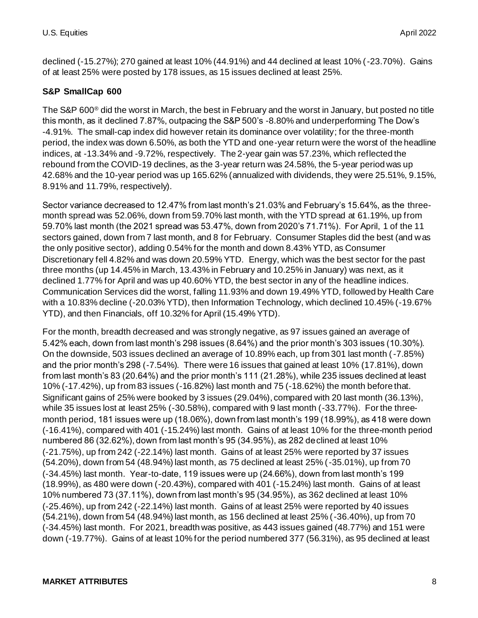declined (-15.27%); 270 gained at least 10% (44.91%) and 44 declined at least 10% (-23.70%). Gains of at least 25% were posted by 178 issues, as 15 issues declined at least 25%.

#### **S&P SmallCap 600**

The S&P 600® did the worst in March, the best in February and the worst in January, but posted no title this month, as it declined 7.87%, outpacing the S&P 500's -8.80% and underperforming The Dow's -4.91%. The small-cap index did however retain its dominance over volatility; for the three-month period, the index was down 6.50%, as both the YTD and one-year return were the worst of the headline indices, at -13.34% and -9.72%, respectively. The 2-year gain was 57.23%, which reflected the rebound from the COVID-19 declines, as the 3-year return was 24.58%, the 5-year period was up 42.68% and the 10-year period was up 165.62% (annualized with dividends, they were 25.51%, 9.15%, 8.91% and 11.79%, respectively).

Sector variance decreased to 12.47% from last month's 21.03% and February's 15.64%, as the threemonth spread was 52.06%, down from 59.70% last month, with the YTD spread at 61.19%, up from 59.70% last month (the 2021 spread was 53.47%, down from 2020's 71.71%). For April, 1 of the 11 sectors gained, down from 7 last month, and 8 for February. Consumer Staples did the best (and was the only positive sector), adding 0.54% for the month and down 8.43% YTD, as Consumer Discretionary fell 4.82% and was down 20.59% YTD. Energy, which was the best sector for the past three months (up 14.45% in March, 13.43% in February and 10.25% in January) was next, as it declined 1.77% for April and was up 40.60% YTD, the best sector in any of the headline indices. Communication Services did the worst, falling 11.93% and down 19.49% YTD, followed by Health Care with a 10.83% decline (-20.03% YTD), then Information Technology, which declined 10.45% (-19.67% YTD), and then Financials, off 10.32% for April (15.49% YTD).

For the month, breadth decreased and was strongly negative, as 97 issues gained an average of 5.42% each, down from last month's 298 issues (8.64%) and the prior month's 303 issues (10.30%). On the downside, 503 issues declined an average of 10.89% each, up from 301 last month (-7.85%) and the prior month's 298 (-7.54%). There were 16 issues that gained at least 10% (17.81%), down from last month's 83 (20.64%) and the prior month's 111 (21.28%), while 235 issues declined at least 10% (-17.42%), up from 83 issues (-16.82%) last month and 75 (-18.62%) the month before that. Significant gains of 25% were booked by 3 issues (29.04%), compared with 20 last month (36.13%), while 35 issues lost at least 25% (-30.58%), compared with 9 last month (-33.77%). For the threemonth period, 181 issues were up (18.06%), down from last month's 199 (18.99%), as 418 were down (-16.41%), compared with 401 (-15.24%) last month. Gains of at least 10% for the three-month period numbered 86 (32.62%), down from last month's 95 (34.95%), as 282 declined at least 10% (-21.75%), up from 242 (-22.14%) last month. Gains of at least 25% were reported by 37 issues (54.20%), down from 54 (48.94%) last month, as 75 declined at least 25% (-35.01%), up from 70 (-34.45%) last month. Year-to-date, 119 issues were up (24.66%), down from last month's 199 (18.99%), as 480 were down (-20.43%), compared with 401 (-15.24%) last month. Gains of at least 10% numbered 73 (37.11%), down from last month's 95 (34.95%), as 362 declined at least 10% (-25.46%), up from 242 (-22.14%) last month. Gains of at least 25% were reported by 40 issues (54.21%), down from 54 (48.94%) last month, as 156 declined at least 25% (-36.40%), up from 70 (-34.45%) last month. For 2021, breadth was positive, as 443 issues gained (48.77%) and 151 were down (-19.77%). Gains of at least 10% for the period numbered 377 (56.31%), as 95 declined at least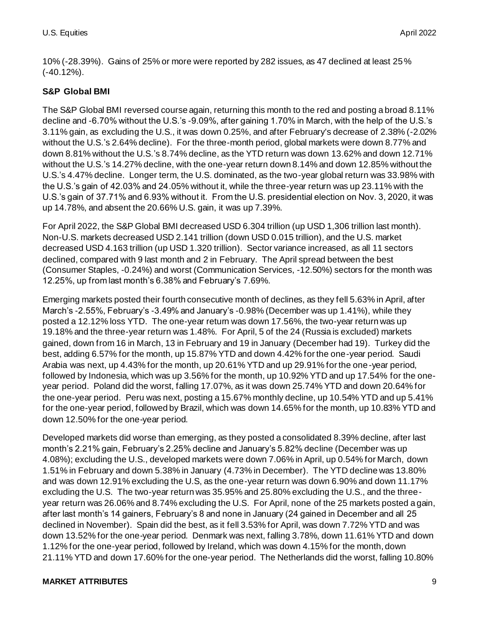10% (-28.39%). Gains of 25% or more were reported by 282 issues, as 47 declined at least 25% (-40.12%).

#### **S&P Global BMI**

The S&P Global BMI reversed course again, returning this month to the red and posting a broad 8.11% decline and -6.70% without the U.S.'s -9.09%, after gaining 1.70% in March, with the help of the U.S.'s 3.11% gain, as excluding the U.S., it was down 0.25%, and after February's decrease of 2.38% (-2.02% without the U.S.'s 2.64% decline). For the three-month period, global markets were down 8.77% and down 8.81% without the U.S.'s 8.74% decline, as the YTD return was down 13.62% and down 12.71% without the U.S.'s 14.27% decline, with the one-year return down 8.14% and down 12.85% without the U.S.'s 4.47% decline. Longer term, the U.S. dominated, as the two-year global return was 33.98% with the U.S.'s gain of 42.03% and 24.05% without it, while the three-year return was up 23.11% with the U.S.'s gain of 37.71% and 6.93% without it. From the U.S. presidential election on Nov. 3, 2020, it was up 14.78%, and absent the 20.66% U.S. gain, it was up 7.39%.

For April 2022, the S&P Global BMI decreased USD 6.304 trillion (up USD 1,306 trillion last month). Non-U.S. markets decreased USD 2.141 trillion (down USD 0.015 trillion), and the U.S. market decreased USD 4.163 trillion (up USD 1.320 trillion). Sector variance increased, as all 11 sectors declined, compared with 9 last month and 2 in February. The April spread between the best (Consumer Staples, -0.24%) and worst (Communication Services, -12.50%) sectors for the month was 12.25%, up from last month's 6.38% and February's 7.69%.

Emerging markets posted their fourth consecutive month of declines, as they fell 5.63% in April, after March's -2.55%, February's -3.49% and January's -0.98% (December was up 1.41%), while they posted a 12.12% loss YTD. The one-year return was down 17.56%, the two-year return was up 19.18% and the three-year return was 1.48%. For April, 5 of the 24 (Russia is excluded) markets gained, down from 16 in March, 13 in February and 19 in January (December had 19). Turkey did the best, adding 6.57% for the month, up 15.87% YTD and down 4.42% for the one-year period. Saudi Arabia was next, up 4.43% for the month, up 20.61% YTD and up 29.91% for the one-year period, followed by Indonesia, which was up 3.56% for the month, up 10.92% YTD and up 17.54% for the oneyear period. Poland did the worst, falling 17.07%, as it was down 25.74% YTD and down 20.64% for the one-year period. Peru was next, posting a 15.67% monthly decline, up 10.54% YTD and up 5.41% for the one-year period, followed by Brazil, which was down 14.65% for the month, up 10.83% YTD and down 12.50% for the one-year period.

Developed markets did worse than emerging, as they posted a consolidated 8.39% decline, after last month's 2.21% gain, February's 2.25% decline and January's 5.82% decline (December was up 4.08%); excluding the U.S., developed markets were down 7.06% in April, up 0.54% for March, down 1.51% in February and down 5.38% in January (4.73% in December). The YTD decline was 13.80% and was down 12.91% excluding the U.S, as the one-year return was down 6.90% and down 11.17% excluding the U.S. The two-year return was 35.95% and 25.80% excluding the U.S., and the threeyear return was 26.06% and 8.74% excluding the U.S. For April, none of the 25 markets posted a gain, after last month's 14 gainers, February's 8 and none in January (24 gained in December and all 25 declined in November). Spain did the best, as it fell 3.53% for April, was down 7.72% YTD and was down 13.52% for the one-year period. Denmark was next, falling 3.78%, down 11.61% YTD and down 1.12% for the one-year period, followed by Ireland, which was down 4.15% for the month, down 21.11% YTD and down 17.60% for the one-year period. The Netherlands did the worst, falling 10.80%

#### **MARKET ATTRIBUTES** 9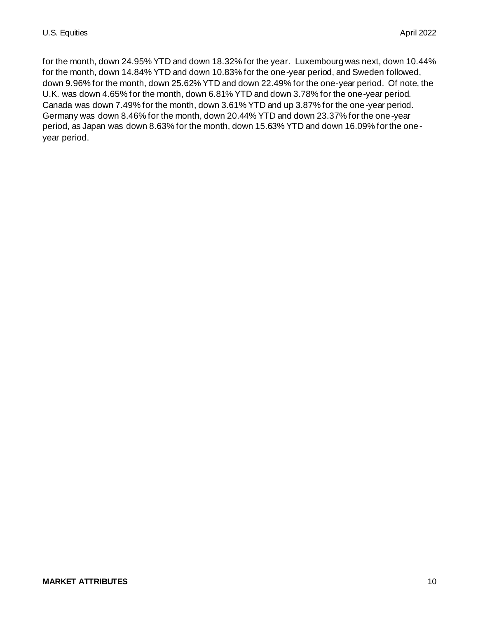for the month, down 24.95% YTD and down 18.32% for the year. Luxembourg was next, down 10.44% for the month, down 14.84% YTD and down 10.83% for the one-year period, and Sweden followed, down 9.96% for the month, down 25.62% YTD and down 22.49% for the one-year period. Of note, the U.K. was down 4.65% for the month, down 6.81% YTD and down 3.78% for the one-year period. Canada was down 7.49% for the month, down 3.61% YTD and up 3.87% for the one-year period. Germany was down 8.46% for the month, down 20.44% YTD and down 23.37% for the one-year period, as Japan was down 8.63% for the month, down 15.63% YTD and down 16.09% for the oneyear period.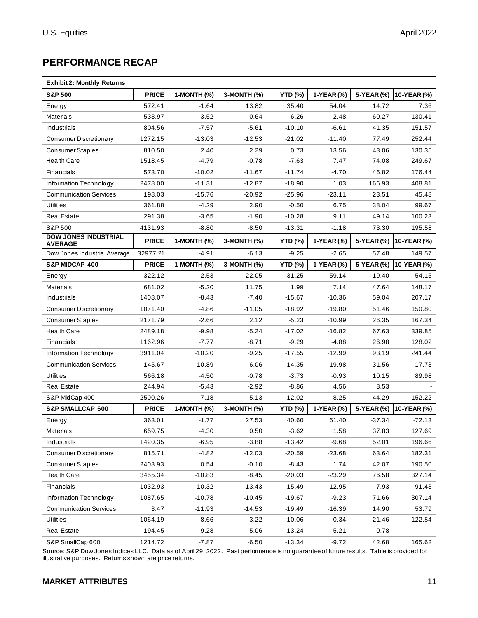### **PERFORMANCE RECAP**

| <b>Exhibit 2: Monthly Returns</b>             |              |             |             |                |            |            |             |
|-----------------------------------------------|--------------|-------------|-------------|----------------|------------|------------|-------------|
| <b>S&amp;P 500</b>                            | <b>PRICE</b> | 1-MONTH (%) | 3-MONTH (%) | <b>YTD (%)</b> | 1-YEAR (%) | 5-YEAR (%) | 10-YEAR (%) |
| Energy                                        | 572.41       | $-1.64$     | 13.82       | 35.40          | 54.04      | 14.72      | 7.36        |
| <b>Materials</b>                              | 533.97       | $-3.52$     | 0.64        | $-6.26$        | 2.48       | 60.27      | 130.41      |
| Industrials                                   | 804.56       | $-7.57$     | $-5.61$     | $-10.10$       | $-6.61$    | 41.35      | 151.57      |
| <b>Consumer Discretionary</b>                 | 1272.15      | $-13.03$    | $-12.53$    | $-21.02$       | $-11.40$   | 77.49      | 252.44      |
| <b>Consumer Staples</b>                       | 810.50       | 2.40        | 2.29        | 0.73           | 13.56      | 43.06      | 130.35      |
| <b>Health Care</b>                            | 1518.45      | $-4.79$     | $-0.78$     | $-7.63$        | 7.47       | 74.08      | 249.67      |
| Financials                                    | 573.70       | $-10.02$    | $-11.67$    | $-11.74$       | $-4.70$    | 46.82      | 176.44      |
| Information Technology                        | 2478.00      | $-11.31$    | $-12.87$    | $-18.90$       | 1.03       | 166.93     | 408.81      |
| <b>Communication Services</b>                 | 198.03       | $-15.76$    | $-20.92$    | $-25.96$       | $-23.11$   | 23.51      | 45.48       |
| <b>Utilities</b>                              | 361.88       | $-4.29$     | 2.90        | $-0.50$        | 6.75       | 38.04      | 99.67       |
| <b>Real Estate</b>                            | 291.38       | $-3.65$     | $-1.90$     | $-10.28$       | 9.11       | 49.14      | 100.23      |
| S&P 500                                       | 4131.93      | $-8.80$     | $-8.50$     | $-13.31$       | $-1.18$    | 73.30      | 195.58      |
| <b>DOW JONES INDUSTRIAL</b><br><b>AVERAGE</b> | <b>PRICE</b> | 1-MONTH (%) | 3-MONTH (%) | <b>YTD (%)</b> | 1-YEAR (%) | 5-YEAR (%) | 10-YEAR (%) |
| Dow Jones Industrial Average                  | 32977.21     | $-4.91$     | $-6.13$     | $-9.25$        | $-2.65$    | 57.48      | 149.57      |
| S&P MIDCAP 400                                | <b>PRICE</b> | 1-MONTH (%) | 3-MONTH (%) | <b>YTD (%)</b> | 1-YEAR (%) | 5-YEAR (%) | 10-YEAR (%) |
| Energy                                        | 322.12       | $-2.53$     | 22.05       | 31.25          | 59.14      | $-19.40$   | $-54.15$    |
| <b>Materials</b>                              | 681.02       | $-5.20$     | 11.75       | 1.99           | 7.14       | 47.64      | 148.17      |
| Industrials                                   | 1408.07      | $-8.43$     | $-7.40$     | $-15.67$       | $-10.36$   | 59.04      | 207.17      |
| <b>Consumer Discretionary</b>                 | 1071.40      | $-4.86$     | $-11.05$    | -18.92         | $-19.80$   | 51.46      | 150.80      |
| <b>Consumer Staples</b>                       | 2171.79      | $-2.66$     | 2.12        | $-5.23$        | $-10.99$   | 26.35      | 167.34      |
| <b>Health Care</b>                            | 2489.18      | $-9.98$     | $-5.24$     | $-17.02$       | $-16.82$   | 67.63      | 339.85      |
| Financials                                    | 1162.96      | $-7.77$     | $-8.71$     | $-9.29$        | $-4.88$    | 26.98      | 128.02      |
| Information Technology                        | 3911.04      | $-10.20$    | $-9.25$     | $-17.55$       | $-12.99$   | 93.19      | 241.44      |
| <b>Communication Services</b>                 | 145.67       | $-10.89$    | $-6.06$     | $-14.35$       | $-19.98$   | $-31.56$   | $-17.73$    |
| <b>Utilities</b>                              | 566.18       | $-4.50$     | $-0.78$     | $-3.73$        | $-0.93$    | 10.15      | 89.98       |
| <b>Real Estate</b>                            | 244.94       | $-5.43$     | $-2.92$     | $-8.86$        | 4.56       | 8.53       |             |
| S&P MidCap 400                                | 2500.26      | $-7.18$     | $-5.13$     | $-12.02$       | $-8.25$    | 44.29      | 152.22      |
| <b>S&amp;P SMALLCAP 600</b>                   | <b>PRICE</b> | 1-MONTH (%) | 3-MONTH (%) | <b>YTD (%)</b> | 1-YEAR (%) | 5-YEAR (%) | 10-YEAR (%) |
| Energy                                        | 363.01       | $-1.77$     | 27.53       | 40.60          | 61.40      | $-37.34$   | $-72.13$    |
| Materials                                     | 659.75       | $-4.30$     | 0.50        | $-3.62$        | 1.58       | 37.83      | 127.69      |
| Industrials                                   | 1420.35      | $-6.95$     | $-3.88$     | $-13.42$       | $-9.68$    | 52.01      | 196.66      |
| <b>Consumer Discretionary</b>                 | 815.71       | $-4.82$     | $-12.03$    | $-20.59$       | $-23.68$   | 63.64      | 182.31      |
| <b>Consumer Staples</b>                       | 2403.93      | 0.54        | $-0.10$     | $-8.43$        | 1.74       | 42.07      | 190.50      |
| <b>Health Care</b>                            | 3455.34      | $-10.83$    | $-8.45$     | $-20.03$       | $-23.29$   | 76.58      | 327.14      |
| Financials                                    | 1032.93      | $-10.32$    | $-13.43$    | $-15.49$       | $-12.95$   | 7.93       | 91.43       |
| Information Technology                        | 1087.65      | $-10.78$    | $-10.45$    | $-19.67$       | $-9.23$    | 71.66      | 307.14      |
| <b>Communication Services</b>                 | 3.47         | $-11.93$    | $-14.53$    | $-19.49$       | $-16.39$   | 14.90      | 53.79       |
| <b>Utilities</b>                              | 1064.19      | $-8.66$     | $-3.22$     | -10.06         | 0.34       | 21.46      | 122.54      |
| <b>Real Estate</b>                            | 194.45       | $-9.28$     | $-5.06$     | $-13.24$       | $-5.21$    | 0.78       |             |
| S&P SmallCap 600                              | 1214.72      | $-7.87$     | $-6.50$     | $-13.34$       | $-9.72$    | 42.68      | 165.62      |

Source: S&P Dow Jones Indices LLC. Data as of April 29, 2022. Past performance is no guarantee of future results. Table is provided for illustrative purposes. Returns shown are price returns.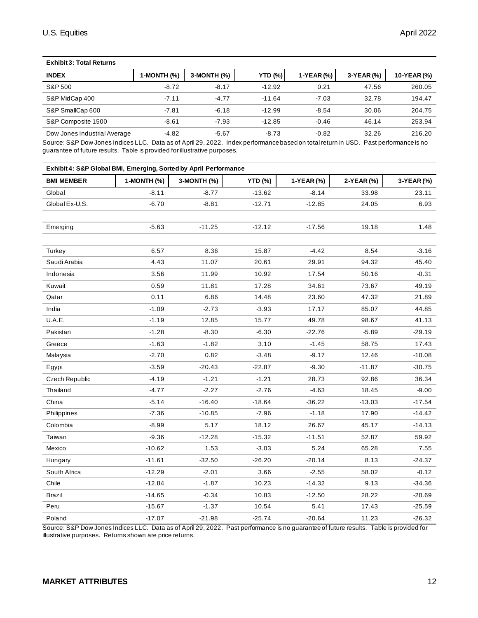| <b>Exhibit 3: Total Returns</b> |             |             |           |            |            |             |
|---------------------------------|-------------|-------------|-----------|------------|------------|-------------|
| <b>INDEX</b>                    | 1-MONTH (%) | 3-MONTH (%) | YTD $(%)$ | 1-YEAR (%) | 3-YEAR (%) | 10-YEAR (%) |
| S&P 500                         | $-8.72$     | $-8.17$     | $-12.92$  | 0.21       | 47.56      | 260.05      |
| S&P MidCap 400                  | $-7.11$     | $-4.77$     | $-11.64$  | $-7.03$    | 32.78      | 194.47      |
| S&P SmallCap 600                | $-7.81$     | $-6.18$     | $-12.99$  | $-8.54$    | 30.06      | 204.75      |
| S&P Composite 1500              | $-8.61$     | $-7.93$     | $-12.85$  | $-0.46$    | 46.14      | 253.94      |
| Dow Jones Industrial Average    | $-4.82$     | $-5.67$     | $-8.73$   | $-0.82$    | 32.26      | 216.20      |

Source: S&P Dow Jones Indices LLC. Data as of April 29, 2022. Index performance based on total return in USD. Past performance is no guarantee of future results. Table is provided for illustrative purposes.

| Exhibit 4: S&P Global BMI, Emerging, Sorted by April Performance |             |             |                |            |            |            |  |  |  |  |
|------------------------------------------------------------------|-------------|-------------|----------------|------------|------------|------------|--|--|--|--|
| <b>BMI MEMBER</b>                                                | 1-MONTH (%) | 3-MONTH (%) | <b>YTD (%)</b> | 1-YEAR (%) | 2-YEAR (%) | 3-YEAR (%) |  |  |  |  |
| Global                                                           | $-8.11$     | $-8.77$     | $-13.62$       | $-8.14$    | 33.98      | 23.11      |  |  |  |  |
| Global Ex-U.S.                                                   | $-6.70$     | $-8.81$     | $-12.71$       | $-12.85$   | 24.05      | 6.93       |  |  |  |  |
|                                                                  |             |             |                |            |            |            |  |  |  |  |
| Emerging                                                         | $-5.63$     | $-11.25$    | $-12.12$       | $-17.56$   | 19.18      | 1.48       |  |  |  |  |
|                                                                  |             |             |                |            |            |            |  |  |  |  |
| Turkey                                                           | 6.57        | 8.36        | 15.87          | $-4.42$    | 8.54       | $-3.16$    |  |  |  |  |
| Saudi Arabia                                                     | 4.43        | 11.07       | 20.61          | 29.91      | 94.32      | 45.40      |  |  |  |  |
| Indonesia                                                        | 3.56        | 11.99       | 10.92          | 17.54      | 50.16      | $-0.31$    |  |  |  |  |
| Kuwait                                                           | 0.59        | 11.81       | 17.28          | 34.61      | 73.67      | 49.19      |  |  |  |  |
| Qatar                                                            | 0.11        | 6.86        | 14.48          | 23.60      | 47.32      | 21.89      |  |  |  |  |
| India                                                            | $-1.09$     | $-2.73$     | $-3.93$        | 17.17      | 85.07      | 44.85      |  |  |  |  |
| U.A.E.                                                           | $-1.19$     | 12.85       | 15.77          | 49.78      | 98.67      | 41.13      |  |  |  |  |
| Pakistan                                                         | $-1.28$     | $-8.30$     | $-6.30$        | $-22.76$   | $-5.89$    | $-29.19$   |  |  |  |  |
| Greece                                                           | $-1.63$     | $-1.82$     | 3.10           | $-1.45$    | 58.75      | 17.43      |  |  |  |  |
| Malaysia                                                         | $-2.70$     | 0.82        | $-3.48$        | -9.17      | 12.46      | $-10.08$   |  |  |  |  |
| Egypt                                                            | $-3.59$     | $-20.43$    | $-22.87$       | $-9.30$    | $-11.87$   | $-30.75$   |  |  |  |  |
| Czech Republic                                                   | $-4.19$     | $-1.21$     | $-1.21$        | 28.73      | 92.86      | 36.34      |  |  |  |  |
| Thailand                                                         | $-4.77$     | $-2.27$     | $-2.76$        | $-4.63$    | 18.45      | $-9.00$    |  |  |  |  |
| China                                                            | $-5.14$     | $-16.40$    | $-18.64$       | $-36.22$   | $-13.03$   | $-17.54$   |  |  |  |  |
| Philippines                                                      | $-7.36$     | $-10.85$    | $-7.96$        | $-1.18$    | 17.90      | $-14.42$   |  |  |  |  |
| Colombia                                                         | $-8.99$     | 5.17        | 18.12          | 26.67      | 45.17      | $-14.13$   |  |  |  |  |
| Taiwan                                                           | $-9.36$     | $-12.28$    | $-15.32$       | $-11.51$   | 52.87      | 59.92      |  |  |  |  |
| Mexico                                                           | $-10.62$    | 1.53        | $-3.03$        | 5.24       | 65.28      | 7.55       |  |  |  |  |
| Hungary                                                          | $-11.61$    | $-32.50$    | $-26.20$       | $-20.14$   | 8.13       | $-24.37$   |  |  |  |  |
| South Africa                                                     | $-12.29$    | $-2.01$     | 3.66           | $-2.55$    | 58.02      | $-0.12$    |  |  |  |  |
| Chile                                                            | $-12.84$    | $-1.87$     | 10.23          | $-14.32$   | 9.13       | $-34.36$   |  |  |  |  |
| <b>Brazil</b>                                                    | $-14.65$    | $-0.34$     | 10.83          | $-12.50$   | 28.22      | $-20.69$   |  |  |  |  |
| Peru                                                             | $-15.67$    | $-1.37$     | 10.54          | 5.41       | 17.43      | $-25.59$   |  |  |  |  |
| Poland                                                           | $-17.07$    | $-21.98$    | $-25.74$       | $-20.64$   | 11.23      | $-26.32$   |  |  |  |  |

Source: S&P Dow Jones Indices LLC. Data as of April 29, 2022. Past performance is no guarantee of future results. Table is provided for illustrative purposes. Returns shown are price returns.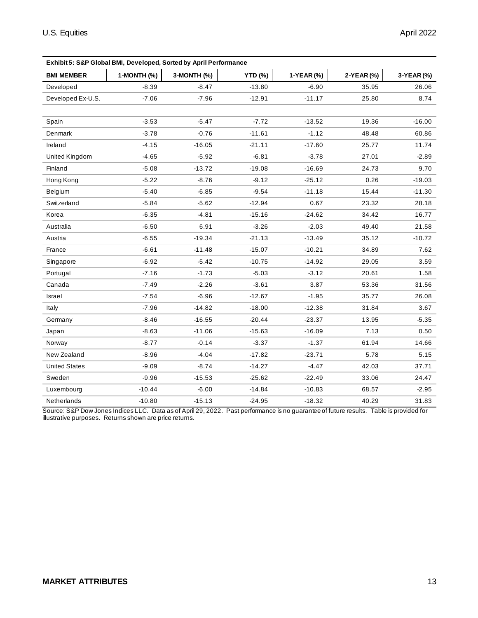| Exhibit 5: S&P Global BMI, Developed, Sorted by April Performance |             |             |                 |                                      |  |  |  |  |  |
|-------------------------------------------------------------------|-------------|-------------|-----------------|--------------------------------------|--|--|--|--|--|
| <b>BMI MEMBER</b>                                                 | 1-MONTH (%) | 3-MONTH (%) | <b>YTD (%)</b>  | 1-YEAR (%)                           |  |  |  |  |  |
| Developed                                                         | $-8.39$     | -8.47       | $-13.80$        | $-6.90$                              |  |  |  |  |  |
| Developed Ex-U.S.                                                 | $-7.06$     | $-7.96$     | $-12.91$        | $-11.17$                             |  |  |  |  |  |
|                                                                   |             |             |                 |                                      |  |  |  |  |  |
| Spain                                                             | $-3.53$     | $-5.47$     | $-7.72$         | $-13.52$                             |  |  |  |  |  |
| Denmark                                                           | $-3.78$     | $-0.76$     | $-11.61$        | $-1.12$                              |  |  |  |  |  |
| Ireland                                                           | $-4.15$     | $-16.05$    | $-21.11$        | $-17.60$                             |  |  |  |  |  |
| United Kingdom                                                    | -4.65       | $-5.92$     | $-6.81$         | $-3.78$                              |  |  |  |  |  |
| Finland                                                           | $-5.08$     | $-13.72$    | $-19.08$        | $-16.69$                             |  |  |  |  |  |
| تمسم كالمسمال                                                     | r oo        | 0.70        | $\sim$ 4 $\sim$ | $\Omega$ $\Gamma$ $\Lambda$ $\Omega$ |  |  |  |  |  |

| <b>BMI MEMBER</b>    | 1-MONTH (%) | 3-MONTH (%) | <b>YTD (%)</b> | 1-YEAR (%) | 2-YEAR (%) | 3-YEAR (%) |
|----------------------|-------------|-------------|----------------|------------|------------|------------|
| Developed            | $-8.39$     | $-8.47$     | $-13.80$       | $-6.90$    | 35.95      | 26.06      |
| Developed Ex-U.S.    | $-7.06$     | $-7.96$     | $-12.91$       | $-11.17$   | 25.80      | 8.74       |
|                      |             |             |                |            |            |            |
| Spain                | $-3.53$     | $-5.47$     | $-7.72$        | $-13.52$   | 19.36      | $-16.00$   |
| Denmark              | $-3.78$     | $-0.76$     | $-11.61$       | $-1.12$    | 48.48      | 60.86      |
| Ireland              | $-4.15$     | $-16.05$    | $-21.11$       | $-17.60$   | 25.77      | 11.74      |
| United Kingdom       | $-4.65$     | $-5.92$     | $-6.81$        | $-3.78$    | 27.01      | $-2.89$    |
| Finland              | $-5.08$     | $-13.72$    | $-19.08$       | $-16.69$   | 24.73      | 9.70       |
| Hong Kong            | $-5.22$     | $-8.76$     | $-9.12$        | $-25.12$   | 0.26       | $-19.03$   |
| Belgium              | $-5.40$     | $-6.85$     | $-9.54$        | $-11.18$   | 15.44      | $-11.30$   |
| Switzerland          | $-5.84$     | $-5.62$     | $-12.94$       | 0.67       | 23.32      | 28.18      |
| Korea                | $-6.35$     | $-4.81$     | $-15.16$       | $-24.62$   | 34.42      | 16.77      |
| Australia            | $-6.50$     | 6.91        | $-3.26$        | $-2.03$    | 49.40      | 21.58      |
| Austria              | $-6.55$     | $-19.34$    | $-21.13$       | $-13.49$   | 35.12      | $-10.72$   |
| France               | $-6.61$     | $-11.48$    | $-15.07$       | $-10.21$   | 34.89      | 7.62       |
| Singapore            | $-6.92$     | $-5.42$     | $-10.75$       | $-14.92$   | 29.05      | 3.59       |
| Portugal             | $-7.16$     | $-1.73$     | $-5.03$        | $-3.12$    | 20.61      | 1.58       |
| Canada               | $-7.49$     | $-2.26$     | $-3.61$        | 3.87       | 53.36      | 31.56      |
| Israel               | $-7.54$     | $-6.96$     | $-12.67$       | $-1.95$    | 35.77      | 26.08      |
| Italy                | $-7.96$     | $-14.82$    | $-18.00$       | $-12.38$   | 31.84      | 3.67       |
| Germany              | $-8.46$     | $-16.55$    | $-20.44$       | $-23.37$   | 13.95      | $-5.35$    |
| Japan                | $-8.63$     | $-11.06$    | $-15.63$       | $-16.09$   | 7.13       | 0.50       |
| Norway               | $-8.77$     | $-0.14$     | $-3.37$        | $-1.37$    | 61.94      | 14.66      |
| New Zealand          | $-8.96$     | $-4.04$     | $-17.82$       | $-23.71$   | 5.78       | 5.15       |
| <b>United States</b> | $-9.09$     | $-8.74$     | $-14.27$       | $-4.47$    | 42.03      | 37.71      |
| Sweden               | $-9.96$     | $-15.53$    | $-25.62$       | $-22.49$   | 33.06      | 24.47      |
| Luxembourg           | $-10.44$    | $-6.00$     | $-14.84$       | $-10.83$   | 68.57      | $-2.95$    |
| Netherlands          | $-10.80$    | $-15.13$    | $-24.95$       | $-18.32$   | 40.29      | 31.83      |

Source: S&P Dow Jones Indices LLC. Data as of April 29, 2022. Past performance is no guarantee of future results. Table is provided for illustrative purposes. Returns shown are price returns.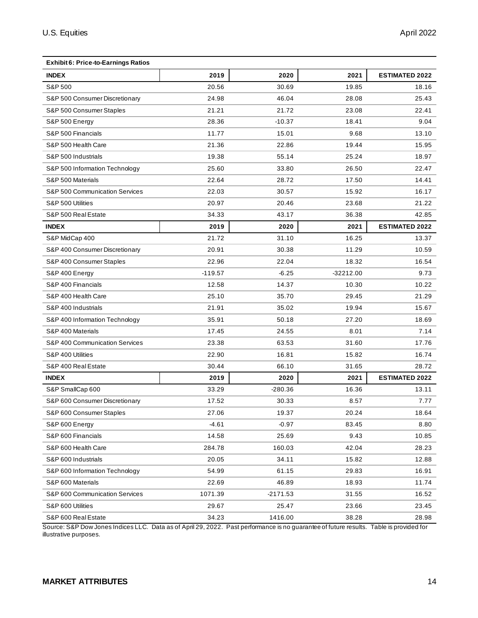| Exhibit 6: Price-to-Earnings Ratios |           |            |             |                       |
|-------------------------------------|-----------|------------|-------------|-----------------------|
| <b>INDEX</b>                        | 2019      | 2020       | 2021        | <b>ESTIMATED 2022</b> |
| S&P 500                             | 20.56     | 30.69      | 19.85       | 18.16                 |
| S&P 500 Consumer Discretionary      | 24.98     | 46.04      | 28.08       | 25.43                 |
| S&P 500 Consumer Staples            | 21.21     | 21.72      | 23.08       | 22.41                 |
| S&P 500 Energy                      | 28.36     | $-10.37$   | 18.41       | 9.04                  |
| S&P 500 Financials                  | 11.77     | 15.01      | 9.68        | 13.10                 |
| S&P 500 Health Care                 | 21.36     | 22.86      | 19.44       | 15.95                 |
| S&P 500 Industrials                 | 19.38     | 55.14      | 25.24       | 18.97                 |
| S&P 500 Information Technology      | 25.60     | 33.80      | 26.50       | 22.47                 |
| S&P 500 Materials                   | 22.64     | 28.72      | 17.50       | 14.41                 |
| S&P 500 Communication Services      | 22.03     | 30.57      | 15.92       | 16.17                 |
| S&P 500 Utilities                   | 20.97     | 20.46      | 23.68       | 21.22                 |
| S&P 500 Real Estate                 | 34.33     | 43.17      | 36.38       | 42.85                 |
| <b>INDEX</b>                        | 2019      | 2020       | 2021        | <b>ESTIMATED 2022</b> |
| S&P MidCap 400                      | 21.72     | 31.10      | 16.25       | 13.37                 |
| S&P 400 Consumer Discretionary      | 20.91     | 30.38      | 11.29       | 10.59                 |
| S&P 400 Consumer Staples            | 22.96     | 22.04      | 18.32       | 16.54                 |
| S&P 400 Energy                      | $-119.57$ | $-6.25$    | $-32212.00$ | 9.73                  |
| S&P 400 Financials                  | 12.58     | 14.37      | 10.30       | 10.22                 |
| S&P 400 Health Care                 | 25.10     | 35.70      | 29.45       | 21.29                 |
| S&P 400 Industrials                 | 21.91     | 35.02      | 19.94       | 15.67                 |
| S&P 400 Information Technology      | 35.91     | 50.18      | 27.20       | 18.69                 |
| S&P 400 Materials                   | 17.45     | 24.55      | 8.01        | 7.14                  |
| S&P 400 Communication Services      | 23.38     | 63.53      | 31.60       | 17.76                 |
| S&P 400 Utilities                   | 22.90     | 16.81      | 15.82       | 16.74                 |
| S&P 400 Real Estate                 | 30.44     | 66.10      | 31.65       | 28.72                 |
| <b>INDEX</b>                        | 2019      | 2020       | 2021        | <b>ESTIMATED 2022</b> |
| S&P SmallCap 600                    | 33.29     | $-280.36$  | 16.36       | 13.11                 |
| S&P 600 Consumer Discretionary      | 17.52     | 30.33      | 8.57        | 7.77                  |
| S&P 600 Consumer Staples            | 27.06     | 19.37      | 20.24       | 18.64                 |
| S&P 600 Energy                      | $-4.61$   | $-0.97$    | 83.45       | 8.80                  |
| S&P 600 Financials                  | 14.58     | 25.69      | 9.43        | 10.85                 |
| S&P 600 Health Care                 | 284.78    | 160.03     | 42.04       | 28.23                 |
| S&P 600 Industrials                 | 20.05     | 34.11      | 15.82       | 12.88                 |
| S&P 600 Information Technology      | 54.99     | 61.15      | 29.83       | 16.91                 |
| S&P 600 Materials                   | 22.69     | 46.89      | 18.93       | 11.74                 |
| S&P 600 Communication Services      | 1071.39   | $-2171.53$ | 31.55       | 16.52                 |
| S&P 600 Utilities                   | 29.67     | 25.47      | 23.66       | 23.45                 |
| S&P 600 Real Estate                 | 34.23     | 1416.00    | 38.28       | 28.98                 |

Source: S&P Dow Jones Indices LLC. Data as of April 29, 2022. Past performance is no guarantee of future results. Table is provided for illustrative purposes.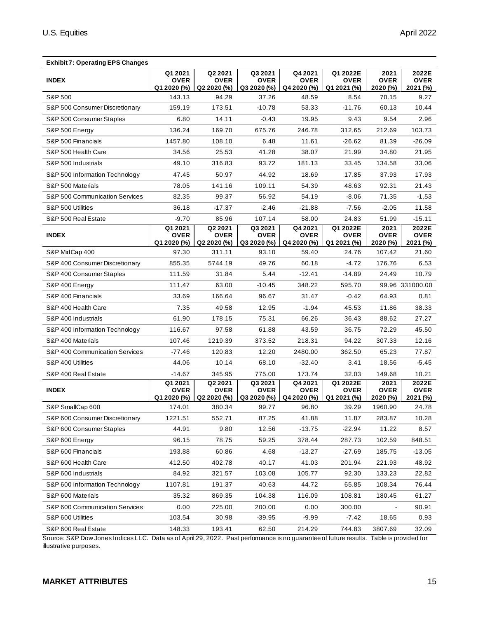| <b>Exhibit 7: Operating EPS Changes</b> |                                       |                                        |                                       |                                       |                                        |                                 |                                  |
|-----------------------------------------|---------------------------------------|----------------------------------------|---------------------------------------|---------------------------------------|----------------------------------------|---------------------------------|----------------------------------|
| <b>INDEX</b>                            | Q1 2021<br><b>OVER</b>                | Q2 2021<br><b>OVER</b>                 | Q3 2021<br><b>OVER</b>                | Q4 2021<br><b>OVER</b>                | Q1 2022E<br><b>OVER</b>                | 2021<br><b>OVER</b>             | 2022E<br><b>OVER</b>             |
| S&P 500                                 | Q1 2020 (%)<br>143.13                 | Q2 2020 (%)<br>94.29                   | Q3 2020 (%)<br>37.26                  | Q4 2020 (%)<br>48.59                  | Q1 2021 (%)<br>8.54                    | 2020 (%)<br>70.15               | 2021 (%)<br>9.27                 |
| S&P 500 Consumer Discretionary          | 159.19                                | 173.51                                 | $-10.78$                              | 53.33                                 | $-11.76$                               | 60.13                           | 10.44                            |
| S&P 500 Consumer Staples                | 6.80                                  | 14.11                                  | -0.43                                 | 19.95                                 | 9.43                                   | 9.54                            | 2.96                             |
| S&P 500 Energy                          | 136.24                                | 169.70                                 | 675.76                                | 246.78                                | 312.65                                 | 212.69                          | 103.73                           |
| S&P 500 Financials                      | 1457.80                               | 108.10                                 | 6.48                                  | 11.61                                 | $-26.62$                               | 81.39                           | $-26.09$                         |
| S&P 500 Health Care                     | 34.56                                 | 25.53                                  | 41.28                                 | 38.07                                 | 21.99                                  | 34.80                           | 21.95                            |
| S&P 500 Industrials                     | 49.10                                 | 316.83                                 | 93.72                                 | 181.13                                | 33.45                                  | 134.58                          | 33.06                            |
| S&P 500 Information Technology          | 47.45                                 | 50.97                                  | 44.92                                 | 18.69                                 | 17.85                                  | 37.93                           | 17.93                            |
| S&P 500 Materials                       | 78.05                                 | 141.16                                 | 109.11                                | 54.39                                 | 48.63                                  | 92.31                           | 21.43                            |
| S&P 500 Communication Services          | 82.35                                 | 99.37                                  | 56.92                                 | 54.19                                 | $-8.06$                                | 71.35                           | $-1.53$                          |
| S&P 500 Utilities                       | 36.18                                 | $-17.37$                               | $-2.46$                               | $-21.88$                              | $-7.56$                                | $-2.05$                         | 11.58                            |
| S&P 500 Real Estate                     | -9.70                                 | 85.96                                  | 107.14                                | 58.00                                 | 24.83                                  | 51.99                           | $-15.11$                         |
| <b>INDEX</b>                            | Q1 2021<br><b>OVER</b>                | Q2 2021<br><b>OVER</b>                 | Q3 2021<br><b>OVER</b>                | Q4 2021<br><b>OVER</b>                | Q1 2022E<br><b>OVER</b>                | 2021<br><b>OVER</b>             | 2022E<br><b>OVER</b>             |
|                                         | Q1 2020 (%)                           | Q2 2020 (%)                            | Q3 2020 (%)                           | Q4 2020 (%)                           | Q1 2021 (%)                            | 2020 (%)                        | 2021 (%)                         |
| S&P MidCap 400                          | 97.30                                 | 311.11                                 | 93.10                                 | 59.40                                 | 24.76                                  | 107.42                          | 21.60                            |
| S&P 400 Consumer Discretionary          | 855.35                                | 5744.19                                | 49.76                                 | 60.18                                 | -4.72                                  | 176.76                          | 6.53                             |
| S&P 400 Consumer Staples                | 111.59                                | 31.84                                  | 5.44                                  | $-12.41$                              | -14.89                                 | 24.49                           | 10.79                            |
| S&P 400 Energy                          | 111.47                                | 63.00                                  | $-10.45$                              | 348.22                                | 595.70                                 |                                 | 99.96 331000.00                  |
| S&P 400 Financials                      | 33.69                                 | 166.64                                 | 96.67                                 | 31.47                                 | -0.42                                  | 64.93                           | 0.81                             |
| S&P 400 Health Care                     | 7.35                                  | 49.58                                  | 12.95                                 | $-1.94$                               | 45.53                                  | 11.86                           | 38.33                            |
| S&P 400 Industrials                     | 61.90                                 | 178.15                                 | 75.31                                 | 66.26                                 | 36.43                                  | 88.62                           | 27.27                            |
| S&P 400 Information Technology          | 116.67                                | 97.58                                  | 61.88                                 | 43.59                                 | 36.75                                  | 72.29                           | 45.50                            |
| S&P 400 Materials                       | 107.46                                | 1219.39                                | 373.52                                | 218.31                                | 94.22                                  | 307.33                          | 12.16                            |
| S&P 400 Communication Services          | -77.46                                | 120.83                                 | 12.20                                 | 2480.00                               | 362.50                                 | 65.23                           | 77.87                            |
| S&P 400 Utilities                       | 44.06                                 | 10.14                                  | 68.10                                 | $-32.40$                              | 3.41                                   | 18.56                           | $-5.45$                          |
| S&P 400 Real Estate                     | -14.67                                | 345.95                                 | 775.00                                | 173.74                                | 32.03                                  | 149.68                          | 10.21                            |
| <b>INDEX</b>                            | Q1 2021<br><b>OVER</b><br>Q1 2020 (%) | Q2 2021<br><b>OVER</b><br>$Q22020$ (%) | Q3 2021<br><b>OVER</b><br>Q3 2020 (%) | Q4 2021<br><b>OVER</b><br>Q4 2020 (%) | Q1 2022E<br><b>OVER</b><br>Q1 2021 (%) | 2021<br><b>OVER</b><br>2020 (%) | 2022E<br><b>OVER</b><br>2021 (%) |
| S&P SmallCap 600                        | 174.01                                | 380.34                                 | 99.77                                 | 96.80                                 | 39.29                                  | 1960.90                         | 24.78                            |
| S&P 600 Consumer Discretionary          | 1221.51                               | 552.71                                 | 87.25                                 | 41.88                                 | 11.87                                  | 283.87                          | 10.28                            |
| S&P 600 Consumer Staples                | 44.91                                 | 9.80                                   | 12.56                                 | $-13.75$                              | $-22.94$                               | 11.22                           | 8.57                             |
| S&P 600 Energy                          | 96.15                                 | 78.75                                  | 59.25                                 | 378.44                                | 287.73                                 | 102.59                          | 848.51                           |
| S&P 600 Financials                      | 193.88                                | 60.86                                  | 4.68                                  | $-13.27$                              | $-27.69$                               | 185.75                          | $-13.05$                         |
| S&P 600 Health Care                     | 412.50                                | 402.78                                 | 40.17                                 | 41.03                                 | 201.94                                 | 221.93                          | 48.92                            |
| S&P 600 Industrials                     | 84.92                                 | 321.57                                 | 103.08                                | 105.77                                | 92.30                                  | 133.23                          | 22.82                            |
| S&P 600 Information Technology          | 1107.81                               | 191.37                                 | 40.63                                 | 44.72                                 | 65.85                                  | 108.34                          | 76.44                            |
| S&P 600 Materials                       | 35.32                                 | 869.35                                 | 104.38                                | 116.09                                | 108.81                                 | 180.45                          | 61.27                            |
| S&P 600 Communication Services          | 0.00                                  | 225.00                                 | 200.00                                | 0.00                                  | 300.00                                 |                                 | 90.91                            |
| S&P 600 Utilities                       | 103.54                                | 30.98                                  | $-39.95$                              | $-9.99$                               | $-7.42$                                | 18.65                           | 0.93                             |
| S&P 600 Real Estate                     | 148.33                                | 193.41                                 | 62.50                                 | 214.29                                | 744.83                                 | 3807.69                         | 32.09                            |

Source: S&P Dow Jones Indices LLC. Data as of April 29, 2022. Past performance is no guarantee of future results. Table is provided for illustrative purposes.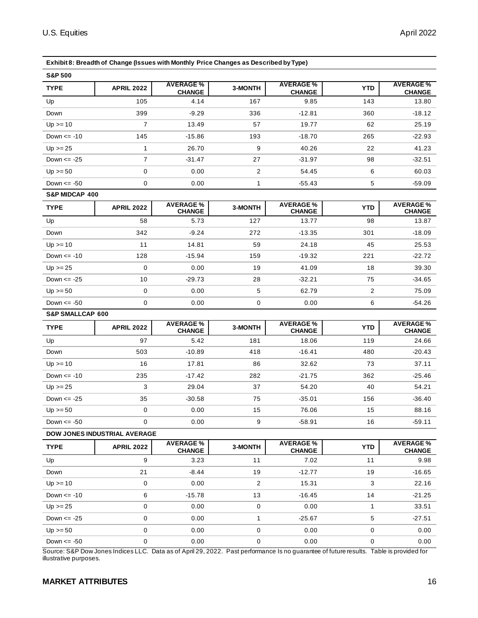| Exhibit 8: Breadth of Change (Issues with Monthly Price Changes as Described by Type) |  |  |
|---------------------------------------------------------------------------------------|--|--|

**S&P 500**

| <b>UWI JUU</b> |                   |                                   |         |                                   |            |                                   |
|----------------|-------------------|-----------------------------------|---------|-----------------------------------|------------|-----------------------------------|
| <b>TYPE</b>    | <b>APRIL 2022</b> | <b>AVERAGE %</b><br><b>CHANGE</b> | 3-MONTH | <b>AVERAGE</b> %<br><b>CHANGE</b> | <b>YTD</b> | <b>AVERAGE %</b><br><b>CHANGE</b> |
| Up             | 105               | 4.14                              | 167     | 9.85                              | 143        | 13.80                             |
| Down           | 399               | $-9.29$                           | 336     | $-12.81$                          | 360        | $-18.12$                          |
| $Up \ge 10$    |                   | 13.49                             | 57      | 19.77                             | 62         | 25.19                             |
| Down $\le$ -10 | 145               | $-15.86$                          | 193     | $-18.70$                          | 265        | $-22.93$                          |
| $Up >= 25$     |                   | 26.70                             | 9       | 40.26                             | 22         | 41.23                             |
| Down $\le$ -25 |                   | $-31.47$                          | 27      | $-31.97$                          | 98         | $-32.51$                          |
| $Up >= 50$     | $\Omega$          | 0.00                              | 2       | 54.45                             | 6          | 60.03                             |
| Down $\le$ -50 | 0                 | 0.00                              |         | $-55.43$                          | 5          | $-59.09$                          |

**S&P MIDCAP 400**

| <b>TYPE</b>    | <b>APRIL 2022</b> | <b>AVERAGE %</b><br><b>CHANGE</b> | 3-MONTH | <b>AVERAGE %</b><br><b>CHANGE</b> | <b>YTD</b>     | <b>AVERAGE%</b><br><b>CHANGE</b> |
|----------------|-------------------|-----------------------------------|---------|-----------------------------------|----------------|----------------------------------|
| Up             | 58                | 5.73                              | 127     | 13.77                             | 98             | 13.87                            |
| Down           | 342               | $-9.24$                           | 272     | $-13.35$                          | 301            | $-18.09$                         |
| $Up \ge 10$    | 11                | 14.81                             | 59      | 24.18                             | 45             | 25.53                            |
| Down $\le$ -10 | 128               | $-15.94$                          | 159     | $-19.32$                          | 221            | $-22.72$                         |
| $Up >= 25$     | $\Omega$          | 0.00                              | 19      | 41.09                             | 18             | 39.30                            |
| Down $\le$ -25 | 10                | $-29.73$                          | 28      | $-32.21$                          | 75             | $-34.65$                         |
| $Up >= 50$     | $\Omega$          | 0.00                              | 5       | 62.79                             | $\overline{2}$ | 75.09                            |
| Down $\le$ -50 | $\Omega$          | 0.00                              | 0       | 0.00                              | 6              | $-54.26$                         |

#### **S&P SMALLCAP 600**

| <b>TYPE</b>    | <b>APRIL 2022</b> | <b>AVERAGE %</b><br><b>CHANGE</b> | 3-MONTH | <b>AVERAGE %</b><br><b>CHANGE</b> | <b>YTD</b> | <b>AVERAGE %</b><br><b>CHANGE</b> |
|----------------|-------------------|-----------------------------------|---------|-----------------------------------|------------|-----------------------------------|
| Up             | 97                | 5.42                              | 181     | 18.06                             | 119        | 24.66                             |
| Down           | 503               | $-10.89$                          | 418     | $-16.41$                          | 480        | $-20.43$                          |
| $Up \ge 10$    | 16                | 17.81                             | 86      | 32.62                             | 73         | 37.11                             |
| Down $\le$ -10 | 235               | $-17.42$                          | 282     | $-21.75$                          | 362        | $-25.46$                          |
| $Up \ge 25$    | 3                 | 29.04                             | 37      | 54.20                             | 40         | 54.21                             |
| Down $\le$ -25 | 35                | $-30.58$                          | 75      | $-35.01$                          | 156        | $-36.40$                          |
| $Up \ge 50$    | 0                 | 0.00                              | 15      | 76.06                             | 15         | 88.16                             |
| Down $\le$ -50 | 0                 | 0.00                              | 9       | $-58.91$                          | 16         | $-59.11$                          |

#### **DOW JONES INDUSTRIAL AVERAGE**

| <b>TYPE</b>    | <b>APRIL 2022</b> | <b>AVERAGE %</b><br><b>CHANGE</b> | 3-MONTH       | <b>AVERAGE %</b><br><b>CHANGE</b> | <b>YTD</b> | <b>AVERAGE %</b><br><b>CHANGE</b> |
|----------------|-------------------|-----------------------------------|---------------|-----------------------------------|------------|-----------------------------------|
| Up             | 9                 | 3.23                              | 11            | 7.02                              | 11         | 9.98                              |
| Down           | 21                | $-8.44$                           | 19            | $-12.77$                          | 19         | $-16.65$                          |
| $Up \ge 10$    | 0                 | 0.00                              | $\mathcal{P}$ | 15.31                             | 3          | 22.16                             |
| Down $\le$ -10 | 6                 | $-15.78$                          | 13            | $-16.45$                          | 14         | $-21.25$                          |
| $Up \ge 25$    | 0                 | 0.00                              | $\Omega$      | 0.00                              |            | 33.51                             |
| Down $\le$ -25 | $\Omega$          | 0.00                              |               | $-25.67$                          | 5          | $-27.51$                          |
| $Up \ge 50$    | $\Omega$          | 0.00                              | $\Omega$      | 0.00                              | 0          | 0.00                              |
| Down $\le$ -50 |                   | 0.00                              |               | 0.00                              | 0          | 0.00                              |

Source: S&P Dow Jones Indices LLC. Data as of April 29, 2022. Past performance Is no guarantee of future results. Table is provided for illustrative purposes.